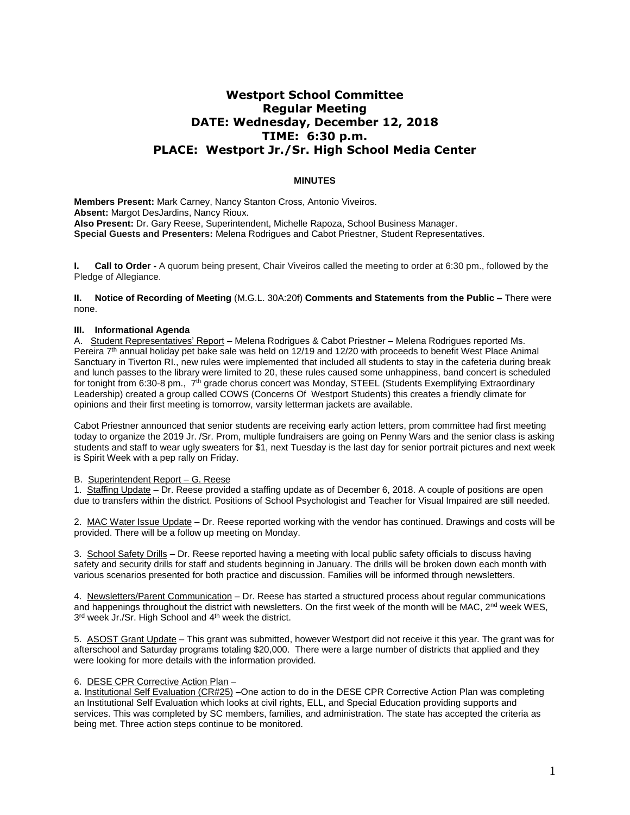# **Westport School Committee Regular Meeting DATE: Wednesday, December 12, 2018 TIME: 6:30 p.m. PLACE: Westport Jr./Sr. High School Media Center**

## **MINUTES**

**Members Present:** Mark Carney, Nancy Stanton Cross, Antonio Viveiros. **Absent:** Margot DesJardins, Nancy Rioux. **Also Present:** Dr. Gary Reese, Superintendent, Michelle Rapoza, School Business Manager. **Special Guests and Presenters:** Melena Rodrigues and Cabot Priestner, Student Representatives.

**I. Call to Order -** A quorum being present, Chair Viveiros called the meeting to order at 6:30 pm., followed by the Pledge of Allegiance.

**II. Notice of Recording of Meeting** (M.G.L. 30A:20f) **Comments and Statements from the Public –** There were none.

## **III. Informational Agenda**

A. Student Representatives' Report – Melena Rodrigues & Cabot Priestner – Melena Rodrigues reported Ms. Pereira 7<sup>th</sup> annual holiday pet bake sale was held on 12/19 and 12/20 with proceeds to benefit West Place Animal Sanctuary in Tiverton RI., new rules were implemented that included all students to stay in the cafeteria during break and lunch passes to the library were limited to 20, these rules caused some unhappiness, band concert is scheduled for tonight from 6:30-8 pm., 7<sup>th</sup> grade chorus concert was Monday, STEEL (Students Exemplifying Extraordinary Leadership) created a group called COWS (Concerns Of Westport Students) this creates a friendly climate for opinions and their first meeting is tomorrow, varsity letterman jackets are available.

Cabot Priestner announced that senior students are receiving early action letters, prom committee had first meeting today to organize the 2019 Jr. /Sr. Prom, multiple fundraisers are going on Penny Wars and the senior class is asking students and staff to wear ugly sweaters for \$1, next Tuesday is the last day for senior portrait pictures and next week is Spirit Week with a pep rally on Friday.

#### B. Superintendent Report – G. Reese

1. Staffing Update – Dr. Reese provided a staffing update as of December 6, 2018. A couple of positions are open due to transfers within the district. Positions of School Psychologist and Teacher for Visual Impaired are still needed.

2. MAC Water Issue Update – Dr. Reese reported working with the vendor has continued. Drawings and costs will be provided. There will be a follow up meeting on Monday.

3. School Safety Drills – Dr. Reese reported having a meeting with local public safety officials to discuss having safety and security drills for staff and students beginning in January. The drills will be broken down each month with various scenarios presented for both practice and discussion. Families will be informed through newsletters.

4. Newsletters/Parent Communication – Dr. Reese has started a structured process about regular communications and happenings throughout the district with newsletters. On the first week of the month will be MAC,  $2^{nd}$  week WES, 3<sup>rd</sup> week Jr./Sr. High School and 4<sup>th</sup> week the district.

5. ASOST Grant Update – This grant was submitted, however Westport did not receive it this year. The grant was for afterschool and Saturday programs totaling \$20,000. There were a large number of districts that applied and they were looking for more details with the information provided.

## 6. DESE CPR Corrective Action Plan –

a. Institutional Self Evaluation (CR#25) –One action to do in the DESE CPR Corrective Action Plan was completing an Institutional Self Evaluation which looks at civil rights, ELL, and Special Education providing supports and services. This was completed by SC members, families, and administration. The state has accepted the criteria as being met. Three action steps continue to be monitored.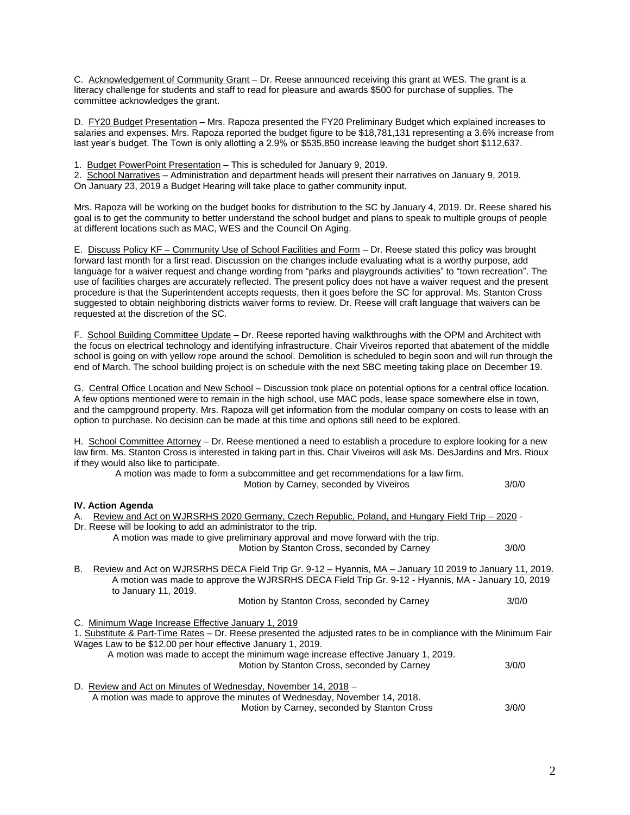C. Acknowledgement of Community Grant – Dr. Reese announced receiving this grant at WES. The grant is a literacy challenge for students and staff to read for pleasure and awards \$500 for purchase of supplies. The committee acknowledges the grant.

D. FY20 Budget Presentation – Mrs. Rapoza presented the FY20 Preliminary Budget which explained increases to salaries and expenses. Mrs. Rapoza reported the budget figure to be \$18,781,131 representing a 3.6% increase from last year's budget. The Town is only allotting a 2.9% or \$535,850 increase leaving the budget short \$112,637.

1. Budget PowerPoint Presentation - This is scheduled for January 9, 2019.

2. School Narratives – Administration and department heads will present their narratives on January 9, 2019. On January 23, 2019 a Budget Hearing will take place to gather community input.

Mrs. Rapoza will be working on the budget books for distribution to the SC by January 4, 2019. Dr. Reese shared his goal is to get the community to better understand the school budget and plans to speak to multiple groups of people at different locations such as MAC, WES and the Council On Aging.

E. Discuss Policy KF – Community Use of School Facilities and Form – Dr. Reese stated this policy was brought forward last month for a first read. Discussion on the changes include evaluating what is a worthy purpose, add language for a waiver request and change wording from "parks and playgrounds activities" to "town recreation". The use of facilities charges are accurately reflected. The present policy does not have a waiver request and the present procedure is that the Superintendent accepts requests, then it goes before the SC for approval. Ms. Stanton Cross suggested to obtain neighboring districts waiver forms to review. Dr. Reese will craft language that waivers can be requested at the discretion of the SC.

F. School Building Committee Update – Dr. Reese reported having walkthroughs with the OPM and Architect with the focus on electrical technology and identifying infrastructure. Chair Viveiros reported that abatement of the middle school is going on with yellow rope around the school. Demolition is scheduled to begin soon and will run through the end of March. The school building project is on schedule with the next SBC meeting taking place on December 19.

G. Central Office Location and New School – Discussion took place on potential options for a central office location. A few options mentioned were to remain in the high school, use MAC pods, lease space somewhere else in town, and the campground property. Mrs. Rapoza will get information from the modular company on costs to lease with an option to purchase. No decision can be made at this time and options still need to be explored.

H. School Committee Attorney – Dr. Reese mentioned a need to establish a procedure to explore looking for a new law firm. Ms. Stanton Cross is interested in taking part in this. Chair Viveiros will ask Ms. DesJardins and Mrs. Rioux if they would also like to participate.

 A motion was made to form a subcommittee and get recommendations for a law firm. Motion by Carney, seconded by Viveiros 3/0/0

**IV. Action Agenda** A. Review and Act on WJRSRHS 2020 Germany, Czech Republic, Poland, and Hungary Field Trip – 2020 - Dr. Reese will be looking to add an administrator to the trip. A motion was made to give preliminary approval and move forward with the trip. Motion by Stanton Cross, seconded by Carney 3/0/0

B. Review and Act on WJRSRHS DECA Field Trip Gr. 9-12 - Hyannis, MA - January 10 2019 to January 11, 2019. A motion was made to approve the WJRSRHS DECA Field Trip Gr. 9-12 - Hyannis, MA - January 10, 2019 to January 11, 2019.

Motion by Stanton Cross, seconded by Carney 3/0/0

C. Minimum Wage Increase Effective January 1, 2019

1. Substitute & Part-Time Rates – Dr. Reese presented the adjusted rates to be in compliance with the Minimum Fair Wages Law to be \$12.00 per hour effective January 1, 2019.

A motion was made to accept the minimum wage increase effective January 1, 2019.

Motion by Stanton Cross, seconded by Carney 3/0/0

D. Review and Act on Minutes of Wednesday, November 14, 2018 – A motion was made to approve the minutes of Wednesday, November 14, 2018. Motion by Carney, seconded by Stanton Cross 3/0/0